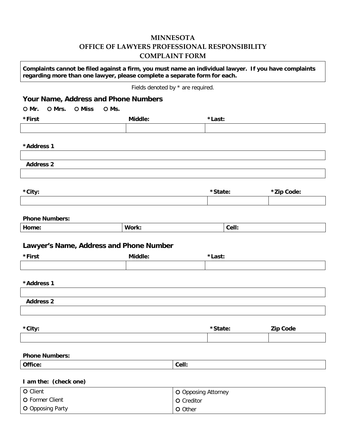## **MINNESOTA OFFICE OF LAWYERS PROFESSIONAL RESPONSIBILITY COMPLAINT FORM**

| Complaints cannot be filed against a firm, you must name an individual lawyer. If you have complaints<br>regarding more than one lawyer, please complete a separate form for each. |         |                                   |        |         |            |                 |  |
|------------------------------------------------------------------------------------------------------------------------------------------------------------------------------------|---------|-----------------------------------|--------|---------|------------|-----------------|--|
|                                                                                                                                                                                    |         | Fields denoted by * are required. |        |         |            |                 |  |
| Your Name, Address and Phone Numbers                                                                                                                                               |         |                                   |        |         |            |                 |  |
| O Mrs.<br>O Miss<br>O Mr.                                                                                                                                                          | O Ms.   |                                   |        |         |            |                 |  |
| *First                                                                                                                                                                             | Middle: |                                   |        | *Last:  |            |                 |  |
|                                                                                                                                                                                    |         |                                   |        |         |            |                 |  |
| *Address 1                                                                                                                                                                         |         |                                   |        |         |            |                 |  |
| <b>Address 2</b>                                                                                                                                                                   |         |                                   |        |         |            |                 |  |
| *City:                                                                                                                                                                             |         |                                   |        | *State: |            |                 |  |
|                                                                                                                                                                                    |         |                                   |        |         | *Zip Code: |                 |  |
| <b>Phone Numbers:</b><br>Home:                                                                                                                                                     |         | Work:                             |        |         | Cell:      |                 |  |
| Lawyer's Name, Address and Phone Number                                                                                                                                            |         |                                   |        |         |            |                 |  |
| *First                                                                                                                                                                             |         | Middle:                           | *Last: |         |            |                 |  |
|                                                                                                                                                                                    |         |                                   |        |         |            |                 |  |
| *Address 1                                                                                                                                                                         |         |                                   |        |         |            |                 |  |
|                                                                                                                                                                                    |         |                                   |        |         |            |                 |  |
| <b>Address 2</b>                                                                                                                                                                   |         |                                   |        |         |            |                 |  |
|                                                                                                                                                                                    |         |                                   |        |         |            |                 |  |
| *City:                                                                                                                                                                             |         |                                   |        | *State: |            | <b>Zip Code</b> |  |
|                                                                                                                                                                                    |         |                                   |        |         |            |                 |  |
|                                                                                                                                                                                    |         |                                   |        |         |            |                 |  |
| <b>Phone Numbers:</b>                                                                                                                                                              |         |                                   |        |         |            |                 |  |
| Office:                                                                                                                                                                            | Cell:   |                                   |        |         |            |                 |  |
| I am the: (check one)                                                                                                                                                              |         |                                   |        |         |            |                 |  |
| O Client<br>O Opposing Attorney                                                                                                                                                    |         |                                   |        |         |            |                 |  |
| O Former Client<br>O Creditor                                                                                                                                                      |         |                                   |        |         |            |                 |  |
| O Opposing Party<br>O Other                                                                                                                                                        |         |                                   |        |         |            |                 |  |